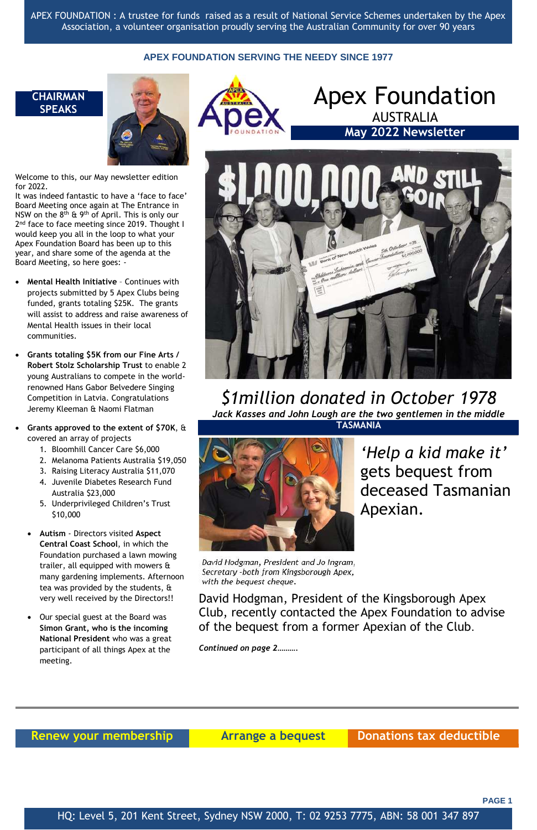APEX FOUNDATION : A trustee for funds raised as a result of National Service Schemes undertaken by the Apex Association, a volunteer organisation proudly serving the Australian Community for over 90 years

### **APEX FOUNDATION SERVING THE NEEDY SINCE 1977**

**PAGE 1**

HQ: Level 5, 201 Kent Street, Sydney NSW 2000, T: 02 9253 7775, ABN: 58 001 347 897

### **CHAIRMAN SPEAKS**



Welcome to this, our May newsletter edition for 2022.

It was indeed fantastic to have a 'face to face' Board Meeting once again at The Entrance in NSW on the  $8<sup>th</sup>$  & 9<sup>th</sup> of April. This is only our 2<sup>nd</sup> face to face meeting since 2019. Thought I would keep you all in the loop to what your Apex Foundation Board has been up to this year, and share some of the agenda at the Board Meeting, so here goes: -



David Hodgman, President and Jo Ingram, Secretary -both from Kingsborough Apex, with the bequest cheque.

- **Mental Health Initiative** Continues with projects submitted by 5 Apex Clubs being funded, grants totaling \$25K. The grants will assist to address and raise awareness of Mental Health issues in their local communities.
- **Grants totaling \$5K from our Fine Arts / Robert Stolz Scholarship Trust** to enable 2 young Australians to compete in the worldrenowned Hans Gabor Belvedere Singing Competition in Latvia. Congratulations Jeremy Kleeman & Naomi Flatman
- **Grants approved to the extent of \$70K**, & covered an array of projects
	- 1. Bloomhill Cancer Care \$6,000
	- 2. Melanoma Patients Australia \$19,050
	- 3. Raising Literacy Australia \$11,070
	- 4. Juvenile Diabetes Research Fund Australia \$23,000
	- 5. Underprivileged Children's Trust \$10,000
	- **Autism**  Directors visited **Aspect Central Coast School**, in which the Foundation purchased a lawn mowing trailer, all equipped with mowers & many gardening implements. Afternoon tea was provided by the students, & very well received by the Directors!!



 Our special guest at the Board was **Simon Grant, who is the incoming National President** who was a great participant of all things Apex at the meeting.

Apex Foundation

AUSTRALIA



*\$1million donated in October 1978 Jack Kasses and John Lough are the two gentlemen in the middle*

> *'Help a kid make it'* gets bequest from deceased Tasmanian Apexian.

David Hodgman, President of the Kingsborough Apex Club, recently contacted the Apex Foundation to advise of the bequest from a former Apexian of the Club.

*Continued on page 2……….*

## **Renew your membership and all arrange a bequest and Donations tax deductible**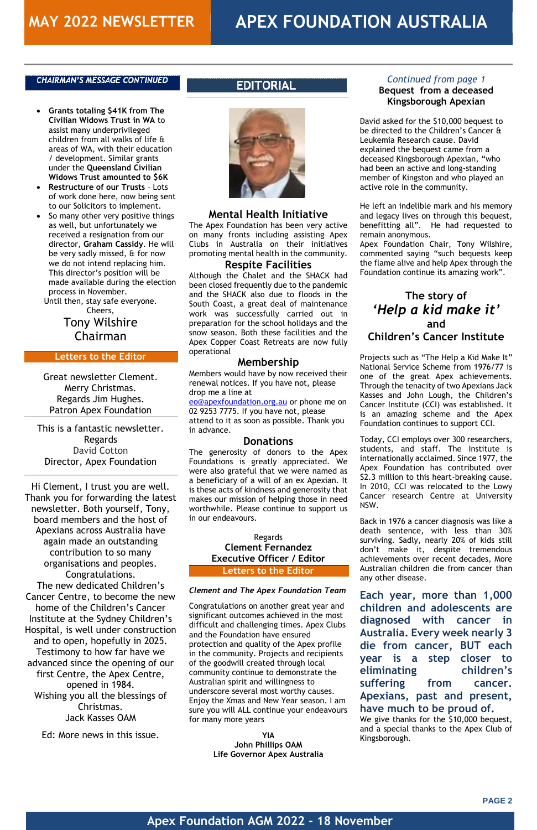#### **CHAIRMAN'S MESSAGE CONTINUED**

**PAGE 2**

### **Apex Foundation AGM 2022 - 18 November**

### *Continued from page 1* **Bequest from a deceased Kingsborough Apexian**

David asked for the \$10,000 bequest to be directed to the Children's Cancer & Leukemia Research cause. David explained the bequest came from a deceased Kingsborough Apexian, "who had been an active and long-standing member of Kingston and who played an active role in the community.

He left an indelible mark and his memory and legacy lives on through this bequest, benefitting all". He had requested to remain anonymous.

Apex Foundation Chair, Tony Wilshire, commented saying "such bequests keep the flame alive and help Apex through the Foundation continue its amazing work".

### **The story of**  *'Help a kid make it'* **and Children's Cancer Institute**

Projects such as "The Help a Kid Make It" National Service Scheme from 1976/77 is one of the great Apex achievements. Through the tenacity of two Apexians Jack Kasses and John Lough, the Children's Cancer Institute (CCI) was established. It is an amazing scheme and the Apex Foundation continues to support CCI.

Today, CCI employs over 300 researchers, students, and staff. The Institute is internationally acclaimed. Since 1977, the Apex Foundation has contributed over \$2.3 million to this heart-breaking cause. In 2010, CCI was relocated to the Lowy Cancer research Centre at University NSW.

Back in 1976 a cancer diagnosis was like a death sentence, with less than 30% surviving. Sadly, nearly 20% of kids still don't make it, despite tremendous achievements over recent decades, More Australian children die from cancer than any other disease.

#### **Each year, more than 1,000 children and adolescents are**

**diagnosed with cancer in Australia. Every week nearly 3 die from cancer, BUT each year is a step closer to eliminating children's suffering from cancer. Apexians, past and present, have much to be proud of.**  We give thanks for the \$10,000 bequest, and a special thanks to the Apex Club of

Kingsborough.

- **Grants totaling \$41K from The Civilian Widows Trust in WA** to assist many underprivileged children from all walks of life & areas of WA, with their education / development. Similar grants under the **Queensland Civilian Widows Trust amounted to \$6K**
- **Restructure of our Trusts** Lots of work done here, now being sent to our Solicitors to implement.
- So many other very positive things as well, but unfortunately we received a resignation from our director, **Graham Cassidy**. He will be very sadly missed, & for now we do not intend replacing him. This director's position will be made available during the election process in November.

Until then, stay safe everyone. Cheers,

## Tony Wilshire Chairman

#### **Letters to the Editor**

Great newsletter Clement. Merry Christmas. Regards Jim Hughes. Patron Apex Foundation

This is a fantastic newsletter. Regards David Cotton Director, Apex Foundation

Hi Clement, I trust you are well. Thank you for forwarding the latest newsletter. Both yourself, Tony, board members and the host of Apexians across Australia have again made an outstanding contribution to so many organisations and peoples. Congratulations. The new dedicated Children's Cancer Centre, to become the new home of the Children's Cancer Institute at the Sydney Children's Hospital, is well under construction and to open, hopefully in 2025. Testimony to how far have we advanced since the opening of our first Centre, the Apex Centre, opened in 1984. Wishing you all the blessings of Christmas. Jack Kasses OAM

## **EDITORIAL**



Ed: More news in this issue.

### **Mental Health Initiative**

The Apex Foundation has been very active on many fronts including assisting Apex Clubs in Australia on their initiatives promoting mental health in the community.

#### **Respite Facilities**

Although the Chalet and the SHACK had been closed frequently due to the pandemic and the SHACK also due to floods in the South Coast, a great deal of maintenance work was successfully carried out in preparation for the school holidays and the snow season. Both these facilities and the Apex Copper Coast Retreats are now fully operational

#### **Membership**

Members would have by now received their renewal notices. If you have not, please drop me a line at

[eo@apexfoundation.org.au](mailto:eo@apexfoundation.org.au) or phone me on 02 9253 7775. If you have not, please attend to it as soon as possible. Thank you in advance.

#### **Donations**

The generosity of donors to the Apex Foundations is greatly appreciated. We were also grateful that we were named as a beneficiary of a will of an ex Apexian. It is these acts of kindness and generosity that makes our mission of helping those in need worthwhile. Please continue to support us in our endeavours.

### Regards **Clement Fernandez Executive Officer / Editor Letters to the Editor**

#### *Clement and The Apex Foundation Team*

Congratulations on another great year and

significant outcomes achieved in the most difficult and challenging times. Apex Clubs and the Foundation have ensured protection and quality of the Apex profile in the community. Projects and recipients of the goodwill created through local community continue to demonstrate the Australian spirit and willingness to underscore several most worthy causes. Enjoy the Xmas and New Year season. I am sure you will ALL continue your endeavours for many more years

> **YIA John Phillips OAM Life Governor Apex Australia**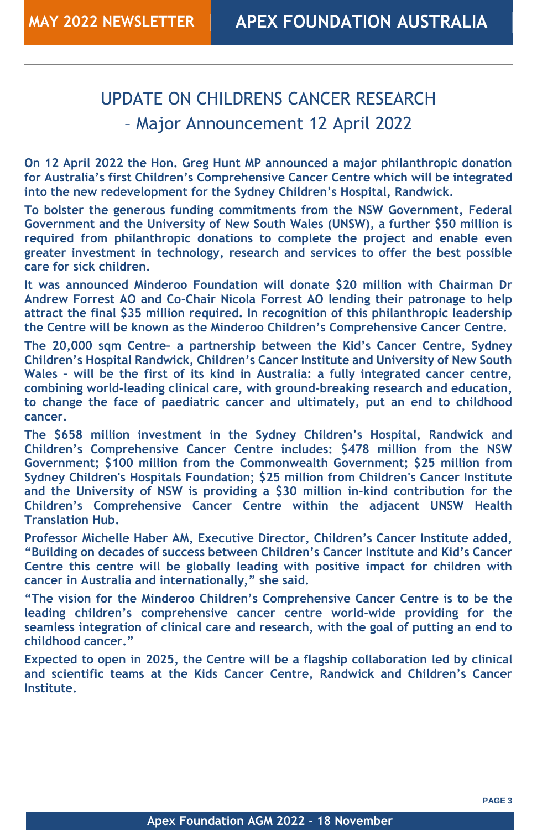### **Apex Foundation AGM 2022 - 18 November**

## UPDATE ON CHILDRENS CANCER RESEARCH – Major Announcement 12 April 2022

**On 12 April 2022 the Hon. Greg Hunt MP announced a major philanthropic donation for Australia's first Children's Comprehensive Cancer Centre which will be integrated into the new redevelopment for the Sydney Children's Hospital, Randwick.**

**To bolster the generous funding commitments from the NSW Government, Federal Government and the University of New South Wales (UNSW), a further \$50 million is required from philanthropic donations to complete the project and enable even greater investment in technology, research and services to offer the best possible care for sick children.**

**It was announced Minderoo Foundation will donate \$20 million with Chairman Dr Andrew Forrest AO and Co-Chair Nicola Forrest AO lending their patronage to help attract the final \$35 million required. In recognition of this philanthropic leadership the Centre will be known as the Minderoo Children's Comprehensive Cancer Centre.**

**The 20,000 sqm Centre– a partnership between the Kid's Cancer Centre, Sydney Children's Hospital Randwick, Children's Cancer Institute and University of New South Wales – will be the first of its kind in Australia: a fully integrated cancer centre, combining world-leading clinical care, with ground-breaking research and education, to change the face of paediatric cancer and ultimately, put an end to childhood cancer.**

**The \$658 million investment in the Sydney Children's Hospital, Randwick and Children's Comprehensive Cancer Centre includes: \$478 million from the NSW Government; \$100 million from the Commonwealth Government; \$25 million from Sydney Children's Hospitals Foundation; \$25 million from Children's Cancer Institute and the University of NSW is providing a \$30 million in-kind contribution for the Children's Comprehensive Cancer Centre within the adjacent UNSW Health Translation Hub.**

**Professor Michelle Haber AM, Executive Director, Children's Cancer Institute added, "Building on decades of success between Children's Cancer Institute and Kid's Cancer Centre this centre will be globally leading with positive impact for children with cancer in Australia and internationally," she said.**

**"The vision for the Minderoo Children's Comprehensive Cancer Centre is to be the leading children's comprehensive cancer centre world-wide providing for the seamless integration of clinical care and research, with the goal of putting an end to childhood cancer."**

**Expected to open in 2025, the Centre will be a flagship collaboration led by clinical and scientific teams at the Kids Cancer Centre, Randwick and Children's Cancer Institute.**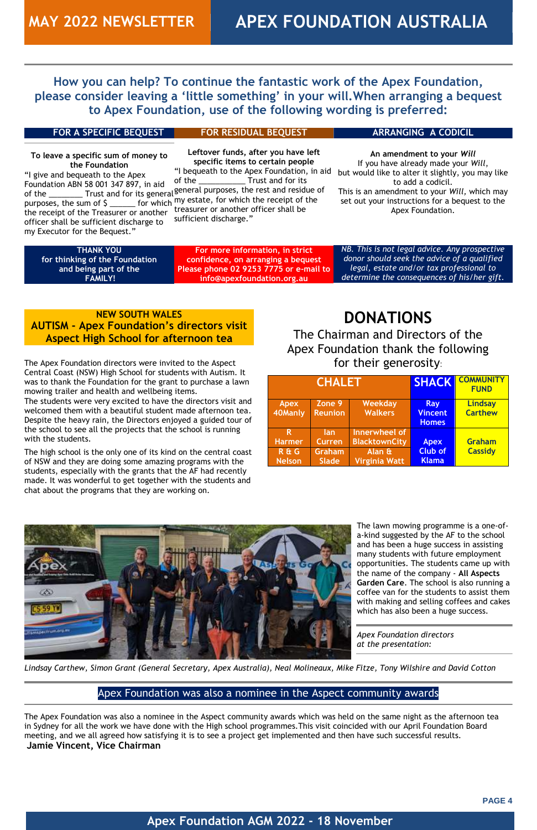### **Apex Foundation AGM 2022 - 18 November**

**How you can help? To continue the fantastic work of the Apex Foundation, please consider leaving a 'little something' in your will.When arranging a bequest to Apex Foundation, use of the following wording is preferred:**

#### **FOR A SPECIFIC BEQUEST**

**To leave a specific sum of money to the Foundation** "I give and bequeath to the Apex Foundation ABN 58 001 347 897, in aid of the \_\_\_\_\_\_\_\_\_ Trust and for its general<sup>§</sup> purposes, the sum of  $\frac{1}{2}$  and for the sense of my estate, for which the receipt of the the receipt of the Treasurer or another officer shall be sufficient discharge to my Executor for the Bequest."

**THANK YOU for thinking of the Foundation and being part of the FAMILY!**

#### **FOR RESIDUAL BEQUEST**

**Leftover funds, after you have left specific items to certain people** "I bequeath to the Apex Foundation, in aid of the \_\_\_\_\_\_\_\_\_\_\_\_\_\_\_\_ Trust and for its general purposes, the rest and residue of treasurer or another officer shall be sufficient discharge."

**For more information, in strict confidence, on arranging a bequest Please phone 02 9253 7775 or e-mail to info@apexfoundation.org.au**

#### **ARRANGING A CODICIL**

**An amendment to your** *Will* If you have already made your *Will*, but would like to alter it slightly, you may like to add a codicil. This is an amendment to your *Will,* which may set out your instructions for a bequest to the Apex Foundation.

*NB. This is not legal advice. Any prospective donor should seek the advice of a qualified legal, estate and/or tax professional to determine the consequences of his/her gift.*

### **NEW SOUTH WALES AUTISM - Apex Foundation's directors visit Aspect High School for afternoon tea**

The Apex Foundation directors were invited to the Aspect Central Coast (NSW) High School for students with Autism. It was to thank the Foundation for the grant to purchase a lawn mowing trailer and health and wellbeing items.

The students were very excited to have the directors visit and welcomed them with a beautiful student made afternoon tea. Despite the heavy rain, the Directors enjoyed a guided tour of the school to see all the projects that the school is running with the students.

The high school is the only one of its kind on the central coast of NSW and they are doing some amazing programs with the students, especially with the grants that the AF had recently made. It was wonderful to get together with the students and chat about the programs that they are working on.

## **DONATIONS**

The Chairman and Directors of the Apex Foundation thank the following for their generosity:

| <b>CHALET</b>  |                   |                      | <b>SHACK</b>   | <b>COMMUNITY</b><br><b>FUND</b> |
|----------------|-------------------|----------------------|----------------|---------------------------------|
| <b>Apex</b>    | Zone <sub>9</sub> | Weekday              | Ray            | Lindsay                         |
| 40Manly        | <b>Reunion</b>    | <b>Walkers</b>       | <b>Vincent</b> | <b>Carthew</b>                  |
|                |                   |                      | <b>Homes</b>   |                                 |
| R.             | <b>lan</b>        | Innerwheel of        |                |                                 |
| <b>Harmer</b>  | <b>Curren</b>     | <b>BlacktownCity</b> | <b>Apex</b>    | Graham                          |
| <b>R&amp;G</b> | <b>Graham</b>     | Alan &               | <b>Club of</b> | <b>Cassidy</b>                  |
| <b>Nelson</b>  | <b>Slade</b>      | <b>Virginia Watt</b> | <b>Klama</b>   |                                 |



The lawn mowing programme is a one-ofa-kind suggested by the AF to the school and has been a huge success in assisting many students with future employment opportunities. The students came up with the name of the company - **All Aspects Garden Care**. The school is also running a coffee van for the students to assist them with making and selling coffees and cakes

which has also been a huge success.

*Apex Foundation directors at the presentation:* 

*Lindsay Carthew, Simon Grant (General Secretary, Apex Australia), Neal Molineaux, Mike Fitze, Tony Wilshire and David Cotton*

### Apex Foundation was also a nominee in the Aspect community awards

The Apex Foundation was also a nominee in the Aspect community awards which was held on the same night as the afternoon tea in Sydney for all the work we have done with the High school programmes.This visit coincided with our April Foundation Board meeting, and we all agreed how satisfying it is to see a project get implemented and then have such successful results. **Jamie Vincent, Vice Chairman**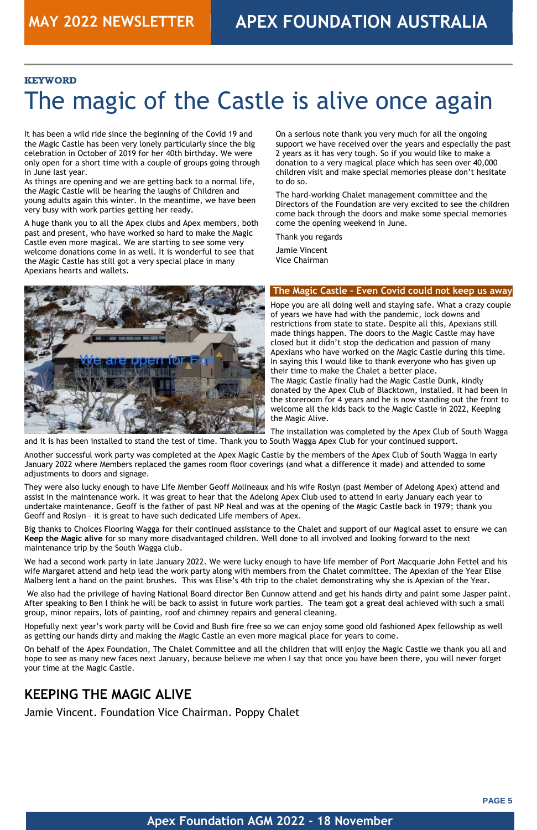

### **Apex Foundation AGM 2022 - 18 November**

#### **KEYWORD**

# The magic of the Castle is alive once again

It has been a wild ride since the beginning of the Covid 19 and the Magic Castle has been very lonely particularly since the big celebration in October of 2019 for her 40th birthday. We were only open for a short time with a couple of groups going through in June last year.

As things are opening and we are getting back to a normal life, the Magic Castle will be hearing the laughs of Children and young adults again this winter. In the meantime, we have been very busy with work parties getting her ready.

A huge thank you to all the Apex clubs and Apex members, both past and present, who have worked so hard to make the Magic Castle even more magical. We are starting to see some very welcome donations come in as well. It is wonderful to see that the Magic Castle has still got a very special place in many Apexians hearts and wallets.

On a serious note thank you very much for all the ongoing support we have received over the years and especially the past 2 years as it has very tough. So if you would like to make a donation to a very magical place which has seen over 40,000 children visit and make special memories please don't hesitate to do so.

The hard-working Chalet management committee and the Directors of the Foundation are very excited to see the children come back through the doors and make some special memories come the opening weekend in June.

Thank you regards

Jamie Vincent Vice Chairman



### **The Magic Castle – Even Covid could not keep us away**

Hope you are all doing well and staying safe. What a crazy couple of years we have had with the pandemic, lock downs and restrictions from state to state. Despite all this, Apexians still made things happen. The doors to the Magic Castle may have closed but it didn't stop the dedication and passion of many Apexians who have worked on the Magic Castle during this time. In saying this I would like to thank everyone who has given up their time to make the Chalet a better place. The Magic Castle finally had the Magic Castle Dunk, kindly

donated by the Apex Club of Blacktown, installed. It had been in the storeroom for 4 years and he is now standing out the front to welcome all the kids back to the Magic Castle in 2022, Keeping the Magic Alive.

The installation was completed by the Apex Club of South Wagga and it is has been installed to stand the test of time. Thank you to South Wagga Apex Club for your continued support.

Another successful work party was completed at the Apex Magic Castle by the members of the Apex Club of South Wagga in early January 2022 where Members replaced the games room floor coverings (and what a difference it made) and attended to some adjustments to doors and signage.

They were also lucky enough to have Life Member Geoff Molineaux and his wife Roslyn (past Member of Adelong Apex) attend and assist in the maintenance work. It was great to hear that the Adelong Apex Club used to attend in early January each year to undertake maintenance. Geoff is the father of past NP Neal and was at the opening of the Magic Castle back in 1979; thank you Geoff and Roslyn – it is great to have such dedicated Life members of Apex.

Big thanks to Choices Flooring Wagga for their continued assistance to the Chalet and support of our Magical asset to ensure we can **Keep the Magic alive** for so many more disadvantaged children. Well done to all involved and looking forward to the next maintenance trip by the South Wagga club.

We had a second work party in late January 2022. We were lucky enough to have life member of Port Macquarie John Fettel and his wife Margaret attend and help lead the work party along with members from the Chalet committee. The Apexian of the Year Elise Malberg lent a hand on the paint brushes. This was Elise's 4th trip to the chalet demonstrating why she is Apexian of the Year.

We also had the privilege of having National Board director Ben Cunnow attend and get his hands dirty and paint some Jasper paint. After speaking to Ben I think he will be back to assist in future work parties. The team got a great deal achieved with such a small

group, minor repairs, lots of painting, roof and chimney repairs and general cleaning.

Hopefully next year's work party will be Covid and Bush fire free so we can enjoy some good old fashioned Apex fellowship as well as getting our hands dirty and making the Magic Castle an even more magical place for years to come.

On behalf of the Apex Foundation, The Chalet Committee and all the children that will enjoy the Magic Castle we thank you all and hope to see as many new faces next January, because believe me when I say that once you have been there, you will never forget your time at the Magic Castle.

## **KEEPING THE MAGIC ALIVE**

Jamie Vincent. Foundation Vice Chairman. Poppy Chalet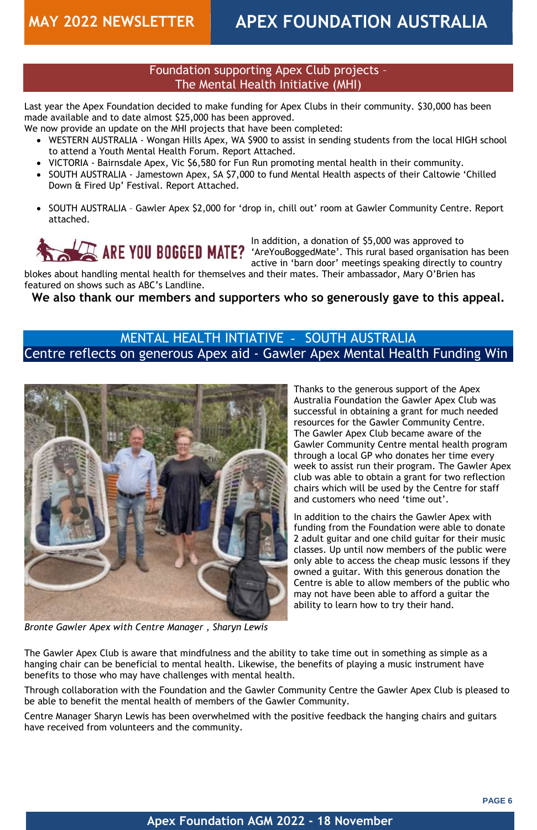### **Apex Foundation AGM 2022 - 18 November**

### Foundation supporting Apex Club projects – The Mental Health Initiative (MHI)

Last year the Apex Foundation decided to make funding for Apex Clubs in their community. \$30,000 has been made available and to date almost \$25,000 has been approved.

We now provide an update on the MHI projects that have been completed:

- WESTERN AUSTRALIA Wongan Hills Apex, WA \$900 to assist in sending students from the local HIGH school to attend a Youth Mental Health Forum. Report Attached.
- VICTORIA Bairnsdale Apex, Vic \$6,580 for Fun Run promoting mental health in their community.
- SOUTH AUSTRALIA Jamestown Apex, SA \$7,000 to fund Mental Health aspects of their Caltowie 'Chilled Down & Fired Up' Festival. Report Attached.
- SOUTH AUSTRALIA Gawler Apex \$2,000 for 'drop in, chill out' room at Gawler Community Centre. Report attached.



In addition, a donation of \$5,000 was approved to 'AreYouBoggedMate'. This rural based organisation has been active in 'barn door' meetings speaking directly to country

blokes about handling mental health for themselves and their mates. Their ambassador, Mary O'Brien has featured on shows such as ABC's Landline.

**We also thank our members and supporters who so generously gave to this appeal.**

## MENTAL HEALTH INTIATIVE - SOUTH AUSTRALIA Centre reflects on generous Apex aid - Gawler Apex Mental Health Funding Win



Thanks to the generous support of the Apex Australia Foundation the Gawler Apex Club was successful in obtaining a grant for much needed resources for the Gawler Community Centre. The Gawler Apex Club became aware of the Gawler Community Centre mental health program through a local GP who donates her time every week to assist run their program. The Gawler Apex club was able to obtain a grant for two reflection chairs which will be used by the Centre for staff and customers who need 'time out'.

In addition to the chairs the Gawler Apex with funding from the Foundation were able to donate 2 adult guitar and one child guitar for their music classes. Up until now members of the public were only able to access the cheap music lessons if they owned a guitar. With this generous donation the Centre is able to allow members of the public who may not have been able to afford a guitar the ability to learn how to try their hand.

### *Bronte Gawler Apex with Centre Manager , Sharyn Lewis*

The Gawler Apex Club is aware that mindfulness and the ability to take time out in something as simple as a hanging chair can be beneficial to mental health. Likewise, the benefits of playing a music instrument have benefits to those who may have challenges with mental health.

Through collaboration with the Foundation and the Gawler Community Centre the Gawler Apex Club is pleased to be able to benefit the mental health of members of the Gawler Community.

Centre Manager Sharyn Lewis has been overwhelmed with the positive feedback the hanging chairs and guitars have received from volunteers and the community.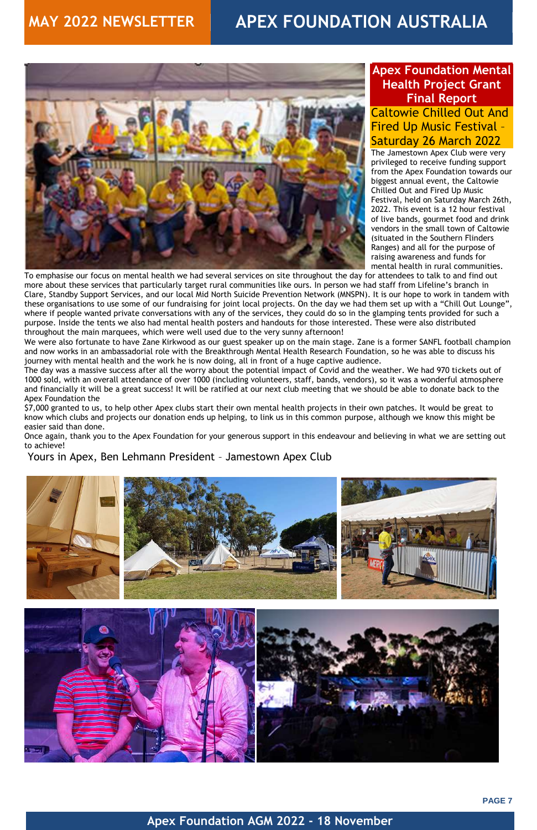



### **Apex Foundation AGM 2022 - 18 November**

## **Apex Foundation Mental Health Project Grant Final Report**

## Caltowie Chilled Out And Fired Up Music Festival – Saturday 26 March 2022

The Jamestown Apex Club were very privileged to receive funding support from the Apex Foundation towards our biggest annual event, the Caltowie Chilled Out and Fired Up Music Festival, held on Saturday March 26th, 2022. This event is a 12 hour festival of live bands, gourmet food and drink vendors in the small town of Caltowie (situated in the Southern Flinders Ranges) and all for the purpose of raising awareness and funds for mental health in rural communities.

To emphasise our focus on mental health we had several services on site throughout the day for attendees to talk to and find out more about these services that particularly target rural communities like ours. In person we had staff from Lifeline's branch in Clare, Standby Support Services, and our local Mid North Suicide Prevention Network (MNSPN). It is our hope to work in tandem with these organisations to use some of our fundraising for joint local projects. On the day we had them set up with a "Chill Out Lounge", where if people wanted private conversations with any of the services, they could do so in the glamping tents provided for such a purpose. Inside the tents we also had mental health posters and handouts for those interested. These were also distributed throughout the main marquees, which were well used due to the very sunny afternoon!

We were also fortunate to have Zane Kirkwood as our guest speaker up on the main stage. Zane is a former SANFL football champion and now works in an ambassadorial role with the Breakthrough Mental Health Research Foundation, so he was able to discuss his journey with mental health and the work he is now doing, all in front of a huge captive audience.

The day was a massive success after all the worry about the potential impact of Covid and the weather. We had 970 tickets out of 1000 sold, with an overall attendance of over 1000 (including volunteers, staff, bands, vendors), so it was a wonderful atmosphere and financially it will be a great success! It will be ratified at our next club meeting that we should be able to donate back to the Apex Foundation the

\$7,000 granted to us, to help other Apex clubs start their own mental health projects in their own patches. It would be great to know which clubs and projects our donation ends up helping, to link us in this common purpose, although we know this might be easier said than done.

Once again, thank you to the Apex Foundation for your generous support in this endeavour and believing in what we are setting out to achieve!

Yours in Apex, Ben Lehmann President – Jamestown Apex Club







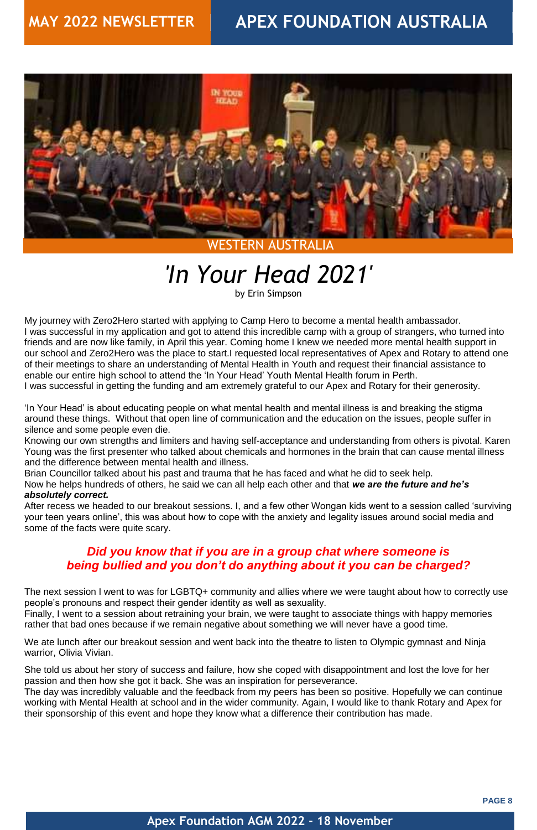

### **Apex Foundation AGM 2022 - 18 November**

## WESTERN AUSTRALIA

# *'In Your Head 2021'*

by Erin Simpson

My journey with Zero2Hero started with applying to Camp Hero to become a mental health ambassador. I was successful in my application and got to attend this incredible camp with a group of strangers, who turned into friends and are now like family, in April this year. Coming home I knew we needed more mental health support in our school and Zero2Hero was the place to start.I requested local representatives of Apex and Rotary to attend one of their meetings to share an understanding of Mental Health in Youth and request their financial assistance to enable our entire high school to attend the 'In Your Head' Youth Mental Health forum in Perth. I was successful in getting the funding and am extremely grateful to our Apex and Rotary for their generosity.

'In Your Head' is about educating people on what mental health and mental illness is and breaking the stigma around these things. Without that open line of communication and the education on the issues, people suffer in silence and some people even die.

We ate lunch after our breakout session and went back into the theatre to listen to Olympic gymnast and Ninja warrior, Olivia Vivian.

Knowing our own strengths and limiters and having self-acceptance and understanding from others is pivotal. Karen Young was the first presenter who talked about chemicals and hormones in the brain that can cause mental illness and the difference between mental health and illness.

Brian Councillor talked about his past and trauma that he has faced and what he did to seek help.

Now he helps hundreds of others, he said we can all help each other and that *we are the future and he's absolutely correct.*

After recess we headed to our breakout sessions. I, and a few other Wongan kids went to a session called 'surviving your teen years online', this was about how to cope with the anxiety and legality issues around social media and some of the facts were quite scary.

## *Did you know that if you are in a group chat where someone is being bullied and you don't do anything about it you can be charged?*

The next session I went to was for LGBTQ+ community and allies where we were taught about how to correctly use people's pronouns and respect their gender identity as well as sexuality.

Finally, I went to a session about retraining your brain, we were taught to associate things with happy memories rather that bad ones because if we remain negative about something we will never have a good time.

She told us about her story of success and failure, how she coped with disappointment and lost the love for her passion and then how she got it back. She was an inspiration for perseverance.

The day was incredibly valuable and the feedback from my peers has been so positive. Hopefully we can continue working with Mental Health at school and in the wider community. Again, I would like to thank Rotary and Apex for their sponsorship of this event and hope they know what a difference their contribution has made.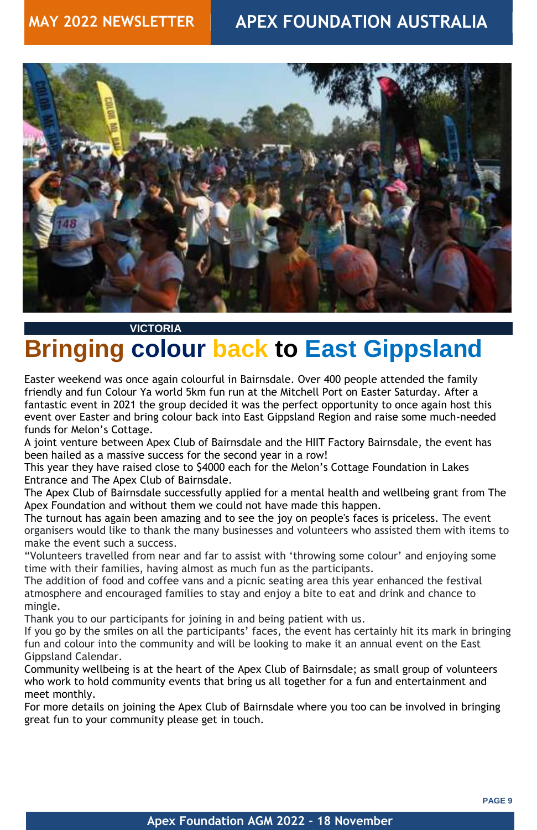

## **Apex Foundation AGM 2022 - 18 November**

### **VICTORIA**

## **Bringing colour back to East Gippsland**

Easter weekend was once again colourful in Bairnsdale. Over 400 people attended the family friendly and fun Colour Ya world 5km fun run at the Mitchell Port on Easter Saturday. After a fantastic event in 2021 the group decided it was the perfect opportunity to once again host this event over Easter and bring colour back into East Gippsland Region and raise some much-needed funds for Melon's Cottage.

The turnout has again been amazing and to see the joy on people's faces is priceless. The event organisers would like to thank the many businesses and volunteers who assisted them with items to make the event such a success.

A joint venture between Apex Club of Bairnsdale and the HIIT Factory Bairnsdale, the event has been hailed as a massive success for the second year in a row!

This year they have raised close to \$4000 each for the Melon's Cottage Foundation in Lakes Entrance and The Apex Club of Bairnsdale.

The Apex Club of Bairnsdale successfully applied for a mental health and wellbeing grant from The Apex Foundation and without them we could not have made this happen.

"Volunteers travelled from near and far to assist with 'throwing some colour' and enjoying some time with their families, having almost as much fun as the participants.

The addition of food and coffee vans and a picnic seating area this year enhanced the festival atmosphere and encouraged families to stay and enjoy a bite to eat and drink and chance to mingle. Thank you to our participants for joining in and being patient with us. If you go by the smiles on all the participants' faces, the event has certainly hit its mark in bringing fun and colour into the community and will be looking to make it an annual event on the East Gippsland Calendar. Community wellbeing is at the heart of the Apex Club of Bairnsdale; as small group of volunteers who work to hold community events that bring us all together for a fun and entertainment and meet monthly.

For more details on joining the Apex Club of Bairnsdale where you too can be involved in bringing great fun to your community please get in touch.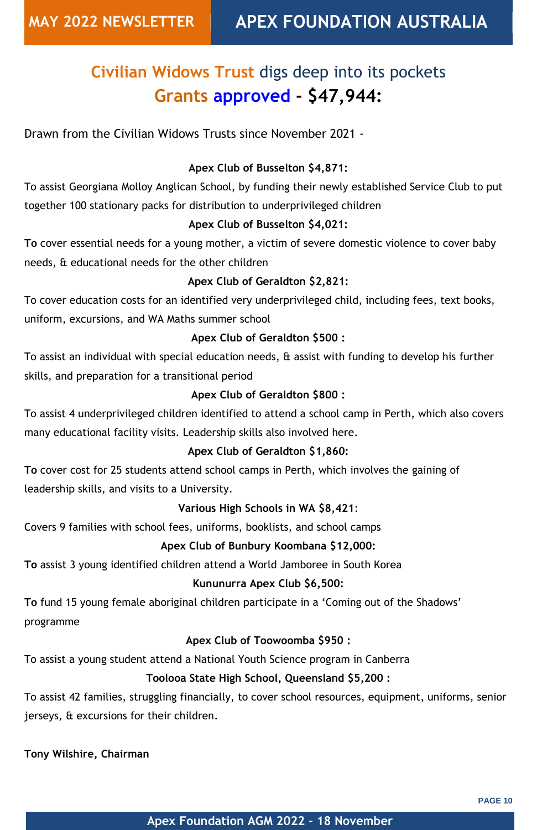**PAGE 10**

### **Apex Foundation AGM 2022 - 18 November**

## **Civilian Widows Trust** digs deep into its pockets **Grants approved - \$47,944:**

Drawn from the Civilian Widows Trusts since November 2021 -

## **Apex Club of Busselton \$4,871:**

To assist Georgiana Molloy Anglican School, by funding their newly established Service Club to put together 100 stationary packs for distribution to underprivileged children

## **Apex Club of Busselton \$4,021:**

**To** cover essential needs for a young mother, a victim of severe domestic violence to cover baby needs, & educational needs for the other children

## **Apex Club of Geraldton \$2,821:**

To cover education costs for an identified very underprivileged child, including fees, text books, uniform, excursions, and WA Maths summer school

### **Apex Club of Geraldton \$500 :**

To assist an individual with special education needs, & assist with funding to develop his further skills, and preparation for a transitional period

### **Apex Club of Geraldton \$800 :**

To assist 4 underprivileged children identified to attend a school camp in Perth, which also covers many educational facility visits. Leadership skills also involved here.

### **Apex Club of Geraldton \$1,860:**

**To** cover cost for 25 students attend school camps in Perth, which involves the gaining of leadership skills, and visits to a University.

### **Various High Schools in WA \$8,421**:

Covers 9 families with school fees, uniforms, booklists, and school camps

### **Apex Club of Bunbury Koombana \$12,000:**

**To** assist 3 young identified children attend a World Jamboree in South Korea

## **Kununurra Apex Club \$6,500:**

**To** fund 15 young female aboriginal children participate in a 'Coming out of the Shadows'

### **Apex Club of Toowoomba \$950 :**

To assist a young student attend a National Youth Science program in Canberra

**Toolooa State High School, Queensland \$5,200 :**

To assist 42 families, struggling financially, to cover school resources, equipment, uniforms, senior jerseys, & excursions for their children.

**Tony Wilshire, Chairman**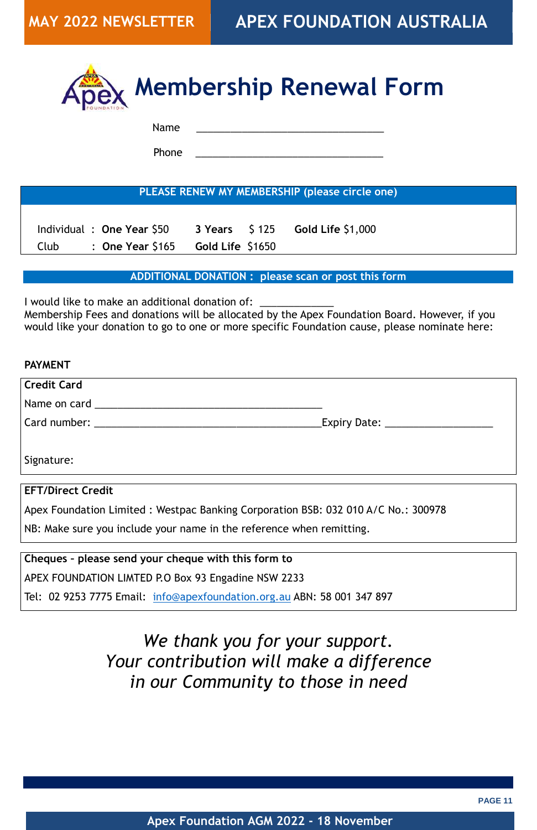

### **Apex Foundation AGM 2022 - 18 November**



Name \_\_\_\_\_\_\_\_\_\_\_\_\_\_\_\_\_\_\_\_\_\_\_\_\_\_\_\_\_\_\_\_\_

Phone

**PLEASE RENEW MY MEMBERSHIP (please circle one)**

 Individual : **One Year** \$50 **3 Years** \$ 125 **Gold Life** \$1,000 Club : **One Year** \$165 **Gold Life** \$1650

**ADDITIONAL DONATION : please scan or post this form**

I would like to make an additional donation of:

Membership Fees and donations will be allocated by the Apex Foundation Board. However, if you would like your donation to go to one or more specific Foundation cause, please nominate here:

**Credit Card** 

Name on card \_\_\_\_\_\_\_\_\_\_\_\_\_\_\_\_\_\_\_\_\_\_\_\_\_\_\_\_\_\_\_\_\_\_\_\_\_\_\_\_

Card number: \_\_\_\_\_\_\_\_\_\_\_\_\_\_\_\_\_\_\_\_\_\_\_\_\_\_\_\_\_\_\_\_\_\_\_\_\_\_\_\_Expiry Date: \_\_\_\_\_\_\_\_\_\_\_\_\_\_\_\_\_\_\_

Signature:

### **EFT/Direct Credit**

Apex Foundation Limited : Westpac Banking Corporation BSB: 032 010 A/C No.: 300978

NB: Make sure you include your name in the reference when remitting.

**Cheques – please send your cheque with this form to**

APEX FOUNDATION LIMTED P.O Box 93 Engadine NSW 2233

Tel: 02 9253 7775 Email: [info@apexfoundation.org.au](mailto:info@apexfoundation.org.au) ABN: 58 001 347 897

*We thank you for your support. Your contribution will make a difference in our Community to those in need*